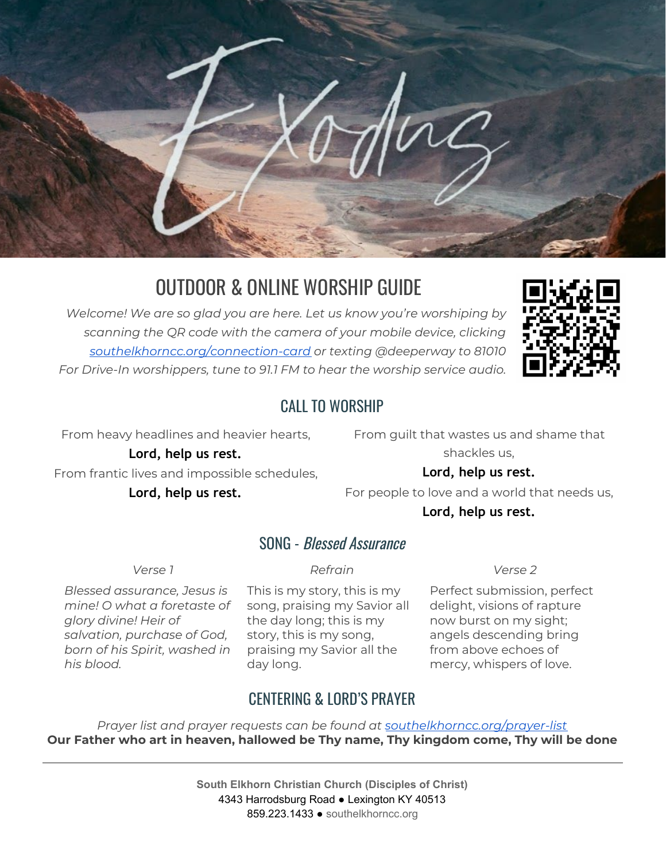

# OUTDOOR & ONLINE WORSHIP GUIDE

*Welcome! We are so glad you are here. Let us know you're worshiping by scanning the QR code with the camera of your mobile device, clicking [southelkhorncc.org/connection-card](https://www.southelkhorncc.org/connection-card) or texting @deeperway to 81010 For Drive-In worshippers, tune to 91.1 FM to hear the worship service audio.*



#### CALL TO WORSHIP

From heavy headlines and heavier hearts,

From guilt that wastes us and shame that shackles us,

**Lord, help us rest.** From frantic lives and impossible schedules,

**Lord, help us rest.**

#### **Lord, help us rest.**

For people to love and a world that needs us, **Lord, help us rest.**

#### SONG - Blessed Assurance

*Blessed assurance, Jesus is mine! O what a foretaste of glory divine! Heir of salvation, purchase of God, born of his Spirit, washed in his blood.*

This is my story, this is my song, praising my Savior all the day long; this is my story, this is my song, praising my Savior all the day long.

*Verse 1 Refrain Verse 2*

Perfect submission, perfect delight, visions of rapture now burst on my sight; angels descending bring from above echoes of mercy, whispers of love.

## CENTERING & LORD'S PRAYER

*Prayer list and prayer requests can be found at [southelkhorncc.org/prayer-list](https://www.southelkhorncc.org/prayer-list)* **Our Father who art in heaven, hallowed be Thy name, Thy kingdom come, Thy will be done**

> **South Elkhorn Christian Church (Disciples of Christ)** 4343 Harrodsburg Road ● Lexington KY 40513 859.223.1433 ● [southelkhorncc.org](http://www.southelkhorncc.org/)